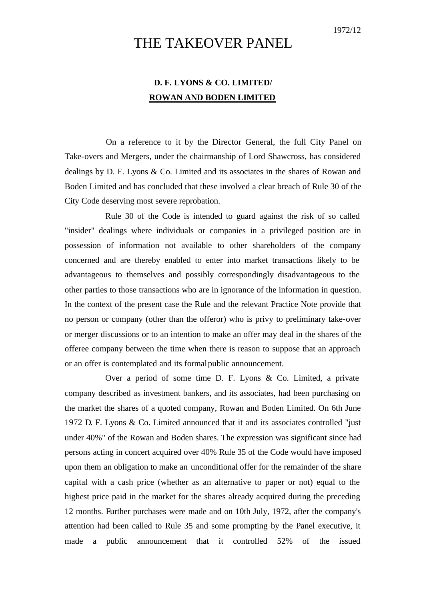## THE TAKEOVER PANEL

## **D. F. LYONS & CO. LIMITED/ ROWAN AND BODEN LIMITED**

On a reference to it by the Director General, the full City Panel on Take-overs and Mergers, under the chairmanship of Lord Shawcross, has considered dealings by D. F. Lyons & Co. Limited and its associates in the shares of Rowan and Boden Limited and has concluded that these involved a clear breach of Rule 30 of the City Code deserving most severe reprobation.

Rule 30 of the Code is intended to guard against the risk of so called "insider" dealings where individuals or companies in a privileged position are in possession of information not available to other shareholders of the company concerned and are thereby enabled to enter into market transactions likely to be advantageous to themselves and possibly correspondingly disadvantageous to the other parties to those transactions who are in ignorance of the information in question. In the context of the present case the Rule and the relevant Practice Note provide that no person or company (other than the offeror) who is privy to preliminary take-over or merger discussions or to an intention to make an offer may deal in the shares of the offeree company between the time when there is reason to suppose that an approach or an offer is contemplated and its formal public announcement.

Over a period of some time D. F. Lyons & Co. Limited, a private company described as investment bankers, and its associates, had been purchasing on the market the shares of a quoted company, Rowan and Boden Limited. On 6th June 1972 D. F. Lyons & Co. Limited announced that it and its associates controlled "just under 40%" of the Rowan and Boden shares. The expression was significant since had persons acting in concert acquired over 40% Rule 35 of the Code would have imposed upon them an obligation to make an unconditional offer for the remainder of the share capital with a cash price (whether as an alternative to paper or not) equal to the highest price paid in the market for the shares already acquired during the preceding 12 months. Further purchases were made and on 10th July, 1972, after the company's attention had been called to Rule 35 and some prompting by the Panel executive, it made a public announcement that it controlled 52% of the issued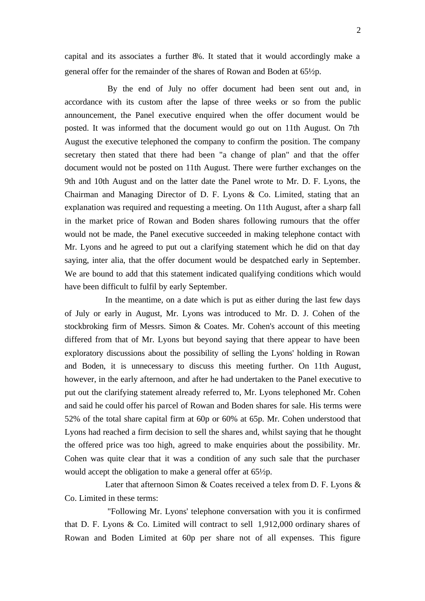capital and its associates a further 8%. It stated that it would accordingly make a general offer for the remainder of the shares of Rowan and Boden at 65½p.

By the end of July no offer document had been sent out and, in accordance with its custom after the lapse of three weeks or so from the public announcement, the Panel executive enquired when the offer document would be posted. It was informed that the document would go out on 11th August. On 7th August the executive telephoned the company to confirm the position. The company secretary then stated that there had been "a change of plan" and that the offer document would not be posted on 11th August. There were further exchanges on the 9th and 10th August and on the latter date the Panel wrote to Mr. D. F. Lyons, the Chairman and Managing Director of D. F. Lyons & Co. Limited, stating that an explanation was required and requesting a meeting. On 11th August, after a sharp fall in the market price of Rowan and Boden shares following rumours that the offer would not be made, the Panel executive succeeded in making telephone contact with Mr. Lyons and he agreed to put out a clarifying statement which he did on that day saying, inter alia, that the offer document would be despatched early in September. We are bound to add that this statement indicated qualifying conditions which would have been difficult to fulfil by early September.

In the meantime, on a date which is put as either during the last few days of July or early in August, Mr. Lyons was introduced to Mr. D. J. Cohen of the stockbroking firm of Messrs. Simon & Coates. Mr. Cohen's account of this meeting differed from that of Mr. Lyons but beyond saying that there appear to have been exploratory discussions about the possibility of selling the Lyons' holding in Rowan and Boden, it is unnecessary to discuss this meeting further. On 11th August, however, in the early afternoon, and after he had undertaken to the Panel executive to put out the clarifying statement already referred to, Mr. Lyons telephoned Mr. Cohen and said he could offer his parcel of Rowan and Boden shares for sale. His terms were 52% of the total share capital firm at 60p or 60% at 65p. Mr. Cohen understood that Lyons had reached a firm decision to sell the shares and, whilst saying that he thought the offered price was too high, agreed to make enquiries about the possibility. Mr. Cohen was quite clear that it was a condition of any such sale that the purchaser would accept the obligation to make a general offer at 65½p.

Later that afternoon Simon & Coates received a telex from D. F. Lyons & Co. Limited in these terms:

"Following Mr. Lyons' telephone conversation with you it is confirmed that D. F. Lyons & Co. Limited will contract to sell 1,912,000 ordinary shares of Rowan and Boden Limited at 60p per share not of all expenses. This figure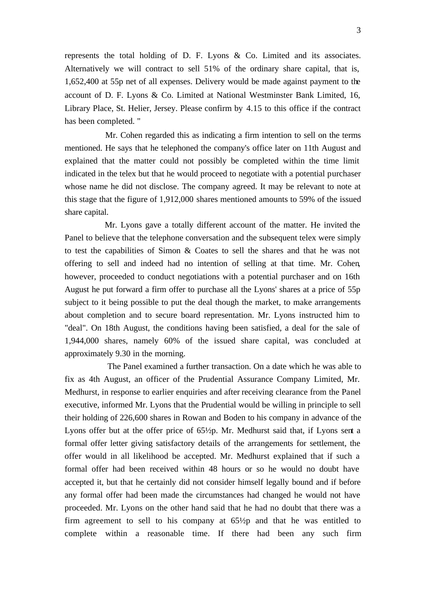represents the total holding of D. F. Lyons & Co. Limited and its associates. Alternatively we will contract to sell 51% of the ordinary share capital, that is, 1,652,400 at 55p net of all expenses. Delivery would be made against payment to the account of D. F. Lyons & Co. Limited at National Westminster Bank Limited, 16, Library Place, St. Helier, Jersey. Please confirm by 4.15 to this office if the contract has been completed. "

Mr. Cohen regarded this as indicating a firm intention to sell on the terms mentioned. He says that he telephoned the company's office later on 11th August and explained that the matter could not possibly be completed within the time limit indicated in the telex but that he would proceed to negotiate with a potential purchaser whose name he did not disclose. The company agreed. It may be relevant to note at this stage that the figure of 1,912,000 shares mentioned amounts to 59% of the issued share capital.

Mr. Lyons gave a totally different account of the matter. He invited the Panel to believe that the telephone conversation and the subsequent telex were simply to test the capabilities of Simon & Coates to sell the shares and that he was not offering to sell and indeed had no intention of selling at that time. Mr. Cohen, however, proceeded to conduct negotiations with a potential purchaser and on 16th August he put forward a firm offer to purchase all the Lyons' shares at a price of 55p subject to it being possible to put the deal though the market, to make arrangements about completion and to secure board representation. Mr. Lyons instructed him to "deal". On 18th August, the conditions having been satisfied, a deal for the sale of 1,944,000 shares, namely 60% of the issued share capital, was concluded at approximately 9.30 in the morning.

The Panel examined a further transaction. On a date which he was able to fix as 4th August, an officer of the Prudential Assurance Company Limited, Mr. Medhurst, in response to earlier enquiries and after receiving clearance from the Panel executive, informed Mr. Lyons that the Prudential would be willing in principle to sell their holding of 226,600 shares in Rowan and Boden to his company in advance of the Lyons offer but at the offer price of 65½p. Mr. Medhurst said that, if Lyons sent a formal offer letter giving satisfactory details of the arrangements for settlement, the offer would in all likelihood be accepted. Mr. Medhurst explained that if such a formal offer had been received within 48 hours or so he would no doubt have accepted it, but that he certainly did not consider himself legally bound and if before any formal offer had been made the circumstances had changed he would not have proceeded. Mr. Lyons on the other hand said that he had no doubt that there was a firm agreement to sell to his company at 65½p and that he was entitled to complete within a reasonable time. If there had been any such firm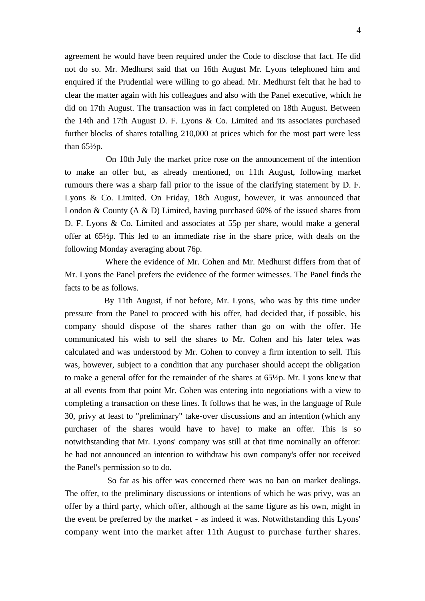4

agreement he would have been required under the Code to disclose that fact. He did not do so. Mr. Medhurst said that on 16th August Mr. Lyons telephoned him and enquired if the Prudential were willing to go ahead. Mr. Medhurst felt that he had to clear the matter again with his colleagues and also with the Panel executive, which he did on 17th August. The transaction was in fact completed on 18th August. Between the 14th and 17th August D. F. Lyons & Co. Limited and its associates purchased further blocks of shares totalling 210,000 at prices which for the most part were less than  $65\frac{1}{2}p$ .

On 10th July the market price rose on the announcement of the intention to make an offer but, as already mentioned, on 11th August, following market rumours there was a sharp fall prior to the issue of the clarifying statement by D. F. Lyons & Co. Limited. On Friday, 18th August, however, it was announced that London & County  $(A \& D)$  Limited, having purchased 60% of the issued shares from D. F. Lyons & Co. Limited and associates at 55p per share, would make a general offer at 65½p. This led to an immediate rise in the share price, with deals on the following Monday averaging about 76p.

Where the evidence of Mr. Cohen and Mr. Medhurst differs from that of Mr. Lyons the Panel prefers the evidence of the former witnesses. The Panel finds the facts to be as follows.

By 11th August, if not before, Mr. Lyons, who was by this time under pressure from the Panel to proceed with his offer, had decided that, if possible, his company should dispose of the shares rather than go on with the offer. He communicated his wish to sell the shares to Mr. Cohen and his later telex was calculated and was understood by Mr. Cohen to convey a firm intention to sell. This was, however, subject to a condition that any purchaser should accept the obligation to make a general offer for the remainder of the shares at 65½p. Mr. Lyons knew that at all events from that point Mr. Cohen was entering into negotiations with a view to completing a transaction on these lines. It follows that he was, in the language of Rule 30, privy at least to "preliminary" take-over discussions and an intention (which any purchaser of the shares would have to have) to make an offer. This is so notwithstanding that Mr. Lyons' company was still at that time nominally an offeror: he had not announced an intention to withdraw his own company's offer nor received the Panel's permission so to do.

So far as his offer was concerned there was no ban on market dealings. The offer, to the preliminary discussions or intentions of which he was privy, was an offer by a third party, which offer, although at the same figure as his own, might in the event be preferred by the market - as indeed it was. Notwithstanding this Lyons' company went into the market after 11th August to purchase further shares.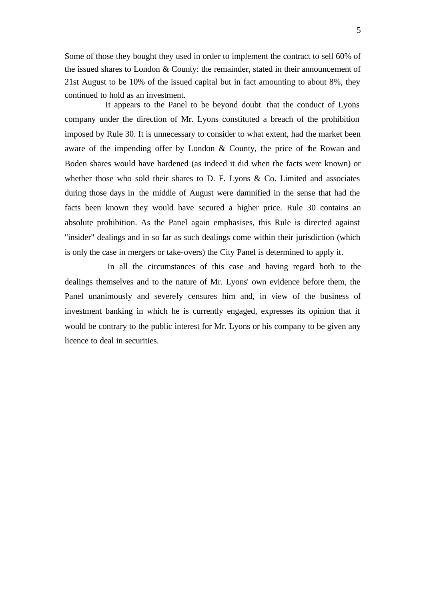Some of those they bought they used in order to implement the contract to sell 60% of the issued shares to London & County: the remainder, stated in their announcement of 21st August to be 10% of the issued capital but in fact amounting to about 8%, they continued to hold as an investment.

It appears to the Panel to be beyond doubt that the conduct of Lyons company under the direction of Mr. Lyons constituted a breach of the prohibition imposed by Rule 30. It is unnecessary to consider to what extent, had the market been aware of the impending offer by London & County, the price of the Rowan and Boden shares would have hardened (as indeed it did when the facts were known) or whether those who sold their shares to  $D$ . F. Lyons & Co. Limited and associates during those days in the middle of August were damnified in the sense that had the facts been known they would have secured a higher price. Rule 30 contains an absolute prohibition. As the Panel again emphasises, this Rule is directed against "insider" dealings and in so far as such dealings come within their jurisdiction (which is only the case in mergers or take-overs) the City Panel is determined to apply it.

In all the circumstances of this case and having regard both to the dealings themselves and to the nature of Mr. Lyons' own evidence before them, the Panel unanimously and severely censures him and, in view of the business of investment banking in which he is currently engaged, expresses its opinion that it would be contrary to the public interest for Mr. Lyons or his company to be given any licence to deal in securities.